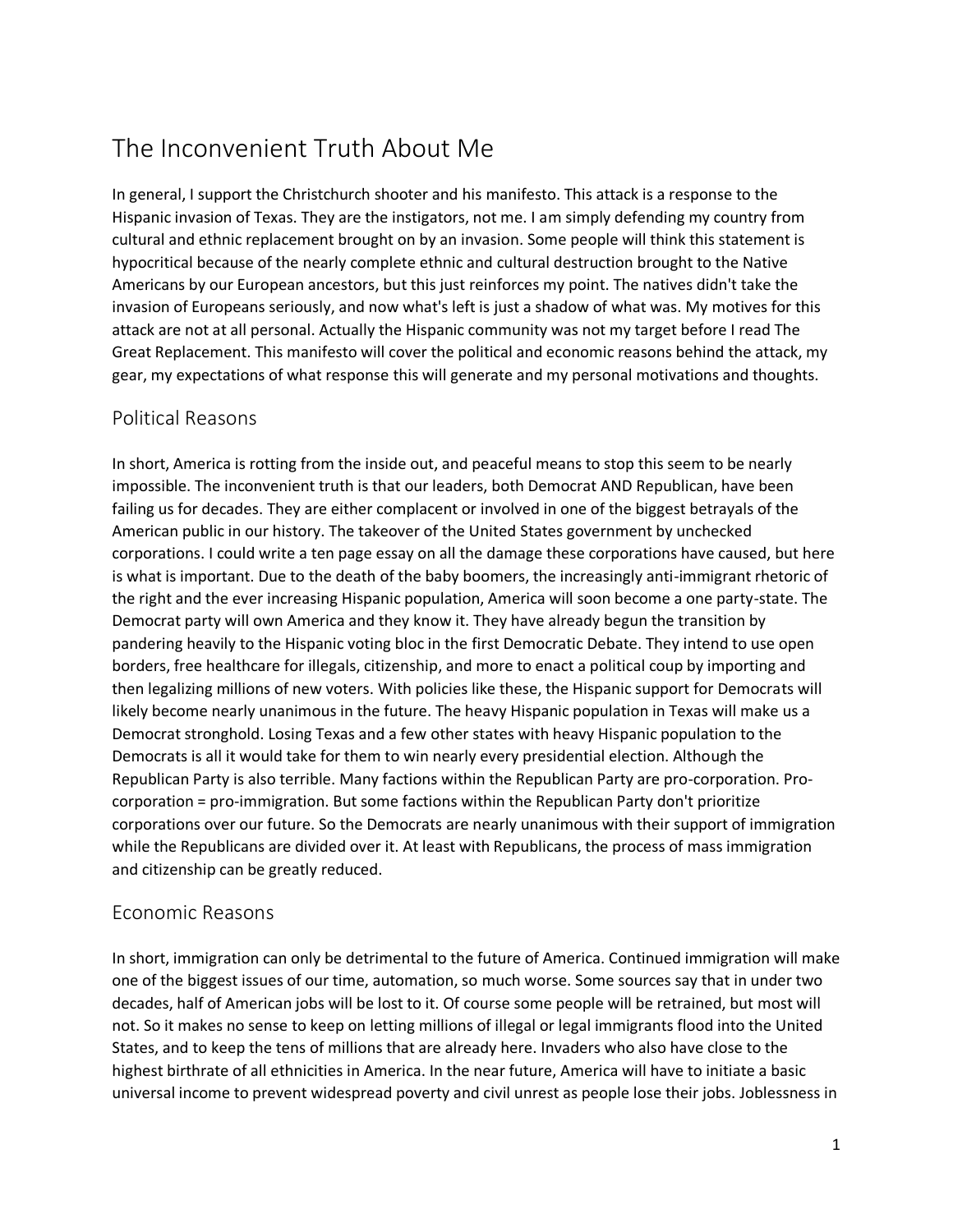# The Inconvenient Truth About Me

In general, I support the Christchurch shooter and his manifesto. This attack is a response to the Hispanic invasion of Texas. They are the instigators, not me. I am simply defending my country from cultural and ethnic replacement brought on by an invasion. Some people will think this statement is hypocritical because of the nearly complete ethnic and cultural destruction brought to the Native Americans by our European ancestors, but this just reinforces my point. The natives didn't take the invasion of Europeans seriously, and now what's left is just a shadow of what was. My motives for this attack are not at all personal. Actually the Hispanic community was not my target before I read The Great Replacement. This manifesto will cover the political and economic reasons behind the attack, my gear, my expectations of what response this will generate and my personal motivations and thoughts.

# Political Reasons

In short, America is rotting from the inside out, and peaceful means to stop this seem to be nearly impossible. The inconvenient truth is that our leaders, both Democrat AND Republican, have been failing us for decades. They are either complacent or involved in one of the biggest betrayals of the American public in our history. The takeover of the United States government by unchecked corporations. I could write a ten page essay on all the damage these corporations have caused, but here is what is important. Due to the death of the baby boomers, the increasingly anti-immigrant rhetoric of the right and the ever increasing Hispanic population, America will soon become a one party-state. The Democrat party will own America and they know it. They have already begun the transition by pandering heavily to the Hispanic voting bloc in the first Democratic Debate. They intend to use open borders, free healthcare for illegals, citizenship, and more to enact a political coup by importing and then legalizing millions of new voters. With policies like these, the Hispanic support for Democrats will likely become nearly unanimous in the future. The heavy Hispanic population in Texas will make us a Democrat stronghold. Losing Texas and a few other states with heavy Hispanic population to the Democrats is all it would take for them to win nearly every presidential election. Although the Republican Party is also terrible. Many factions within the Republican Party are pro-corporation. Procorporation = pro-immigration. But some factions within the Republican Party don't prioritize corporations over our future. So the Democrats are nearly unanimous with their support of immigration while the Republicans are divided over it. At least with Republicans, the process of mass immigration and citizenship can be greatly reduced.

# Economic Reasons

In short, immigration can only be detrimental to the future of America. Continued immigration will make one of the biggest issues of our time, automation, so much worse. Some sources say that in under two decades, half of American jobs will be lost to it. Of course some people will be retrained, but most will not. So it makes no sense to keep on letting millions of illegal or legal immigrants flood into the United States, and to keep the tens of millions that are already here. Invaders who also have close to the highest birthrate of all ethnicities in America. In the near future, America will have to initiate a basic universal income to prevent widespread poverty and civil unrest as people lose their jobs. Joblessness in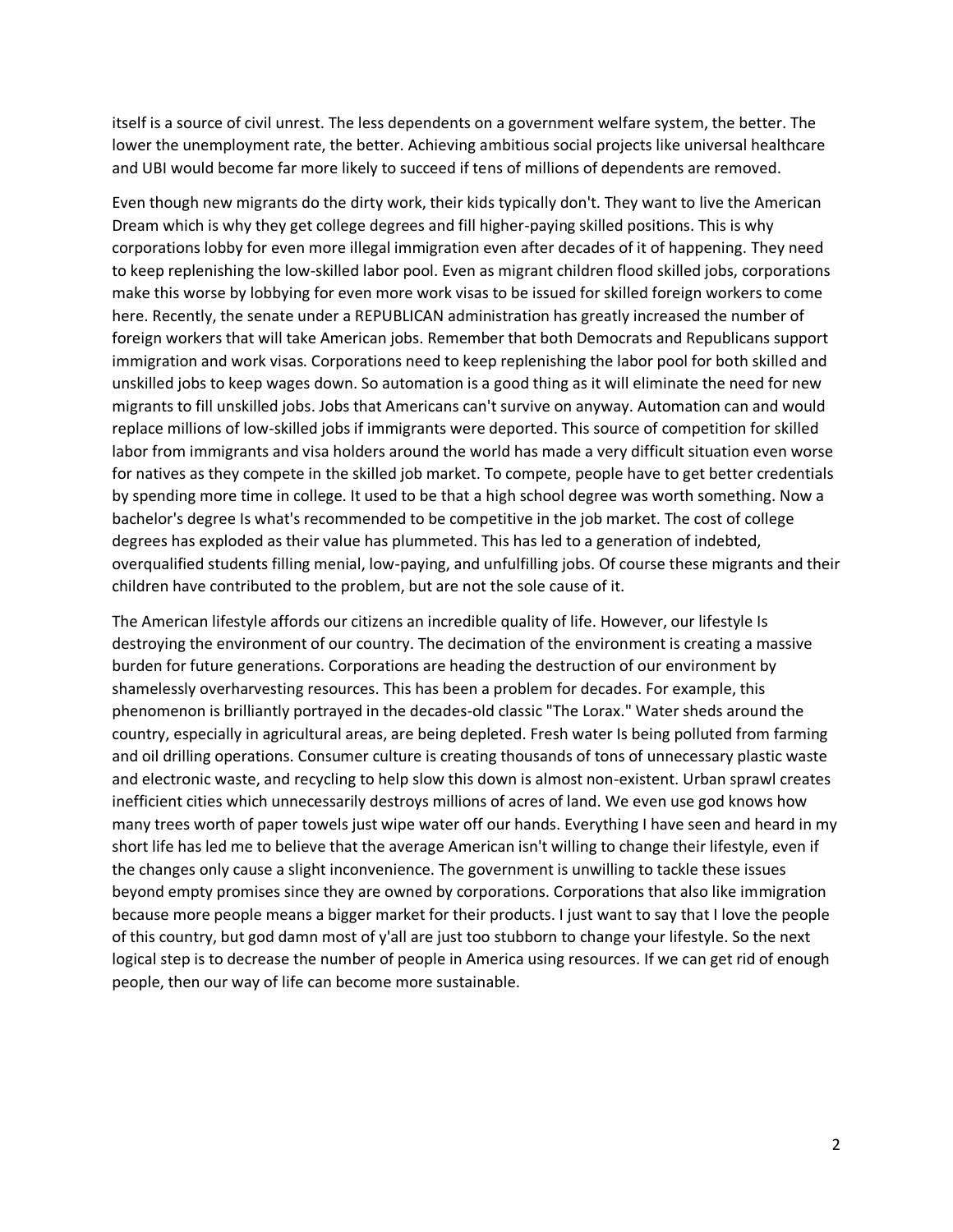itself is a source of civil unrest. The less dependents on a government welfare system, the better. The lower the unemployment rate, the better. Achieving ambitious social projects like universal healthcare and UBI would become far more likely to succeed if tens of millions of dependents are removed.

Even though new migrants do the dirty work, their kids typically don't. They want to live the American Dream which is why they get college degrees and fill higher-paying skilled positions. This is why corporations lobby for even more illegal immigration even after decades of it of happening. They need to keep replenishing the low-skilled labor pool. Even as migrant children flood skilled jobs, corporations make this worse by lobbying for even more work visas to be issued for skilled foreign workers to come here. Recently, the senate under a REPUBLICAN administration has greatly increased the number of foreign workers that will take American jobs. Remember that both Democrats and Republicans support immigration and work visas. Corporations need to keep replenishing the labor pool for both skilled and unskilled jobs to keep wages down. So automation is a good thing as it will eliminate the need for new migrants to fill unskilled jobs. Jobs that Americans can't survive on anyway. Automation can and would replace millions of low-skilled jobs if immigrants were deported. This source of competition for skilled labor from immigrants and visa holders around the world has made a very difficult situation even worse for natives as they compete in the skilled job market. To compete, people have to get better credentials by spending more time in college. It used to be that a high school degree was worth something. Now a bachelor's degree Is what's recommended to be competitive in the job market. The cost of college degrees has exploded as their value has plummeted. This has led to a generation of indebted, overqualified students filling menial, low-paying, and unfulfilling jobs. Of course these migrants and their children have contributed to the problem, but are not the sole cause of it.

The American lifestyle affords our citizens an incredible quality of life. However, our lifestyle Is destroying the environment of our country. The decimation of the environment is creating a massive burden for future generations. Corporations are heading the destruction of our environment by shamelessly overharvesting resources. This has been a problem for decades. For example, this phenomenon is brilliantly portrayed in the decades-old classic "The Lorax." Water sheds around the country, especially in agricultural areas, are being depleted. Fresh water Is being polluted from farming and oil drilling operations. Consumer culture is creating thousands of tons of unnecessary plastic waste and electronic waste, and recycling to help slow this down is almost non-existent. Urban sprawl creates inefficient cities which unnecessarily destroys millions of acres of land. We even use god knows how many trees worth of paper towels just wipe water off our hands. Everything I have seen and heard in my short life has led me to believe that the average American isn't willing to change their lifestyle, even if the changes only cause a slight inconvenience. The government is unwilling to tackle these issues beyond empty promises since they are owned by corporations. Corporations that also like immigration because more people means a bigger market for their products. I just want to say that I love the people of this country, but god damn most of y'all are just too stubborn to change your lifestyle. So the next logical step is to decrease the number of people in America using resources. If we can get rid of enough people, then our way of life can become more sustainable.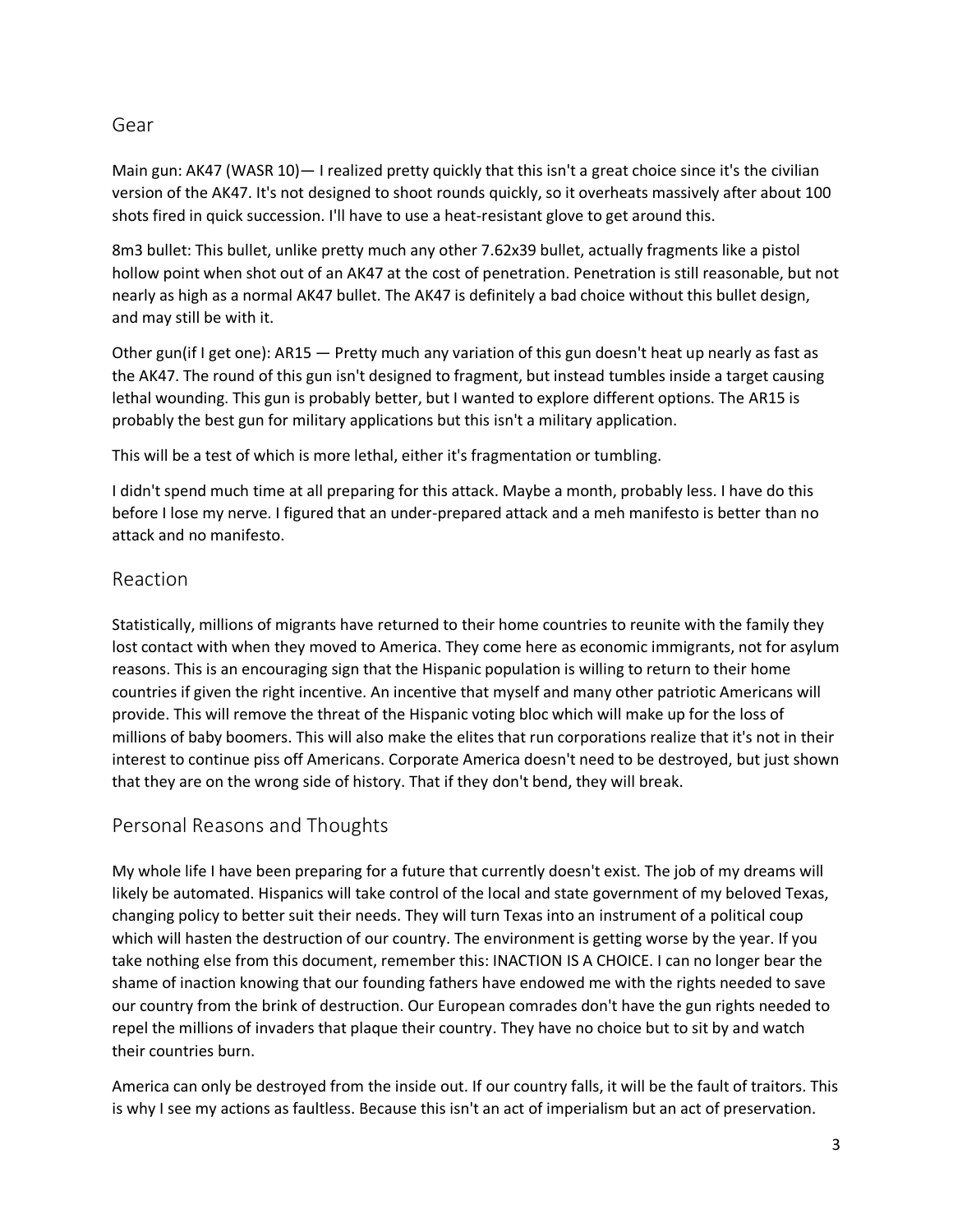### Gear

Main gun: AK47 (WASR 10) - I realized pretty quickly that this isn't a great choice since it's the civilian version of the AK47. It's not designed to shoot rounds quickly, so it overheats massively after about 100 shots fired in quick succession. I'll have to use a heat-resistant glove to get around this.

8m3 bullet: This bullet, unlike pretty much any other 7.62x39 bullet, actually fragments like a pistol hollow point when shot out of an AK47 at the cost of penetration. Penetration is still reasonable, but not nearly as high as a normal AK47 bullet. The AK47 is definitely a bad choice without this bullet design, and may still be with it.

Other gun(if I get one): AR15 — Pretty much any variation of this gun doesn't heat up nearly as fast as the AK47. The round of this gun isn't designed to fragment, but instead tumbles inside a target causing lethal wounding. This gun is probably better, but I wanted to explore different options. The AR15 is probably the best gun for military applications but this isn't a military application.

This will be a test of which is more lethal, either it's fragmentation or tumbling.

I didn't spend much time at all preparing for this attack. Maybe a month, probably less. I have do this before I lose my nerve. I figured that an under-prepared attack and a meh manifesto is better than no attack and no manifesto.

# Reaction

Statistically, millions of migrants have returned to their home countries to reunite with the family they lost contact with when they moved to America. They come here as economic immigrants, not for asylum reasons. This is an encouraging sign that the Hispanic population is willing to return to their home countries if given the right incentive. An incentive that myself and many other patriotic Americans will provide. This will remove the threat of the Hispanic voting bloc which will make up for the loss of millions of baby boomers. This will also make the elites that run corporations realize that it's not in their interest to continue piss off Americans. Corporate America doesn't need to be destroyed, but just shown that they are on the wrong side of history. That if they don't bend, they will break.

# Personal Reasons and Thoughts

My whole life I have been preparing for a future that currently doesn't exist. The job of my dreams will likely be automated. Hispanics will take control of the local and state government of my beloved Texas, changing policy to better suit their needs. They will turn Texas into an instrument of a political coup which will hasten the destruction of our country. The environment is getting worse by the year. If you take nothing else from this document, remember this: INACTION IS A CHOICE. I can no longer bear the shame of inaction knowing that our founding fathers have endowed me with the rights needed to save our country from the brink of destruction. Our European comrades don't have the gun rights needed to repel the millions of invaders that plaque their country. They have no choice but to sit by and watch their countries burn.

America can only be destroyed from the inside out. If our country falls, it will be the fault of traitors. This is why I see my actions as faultless. Because this isn't an act of imperialism but an act of preservation.